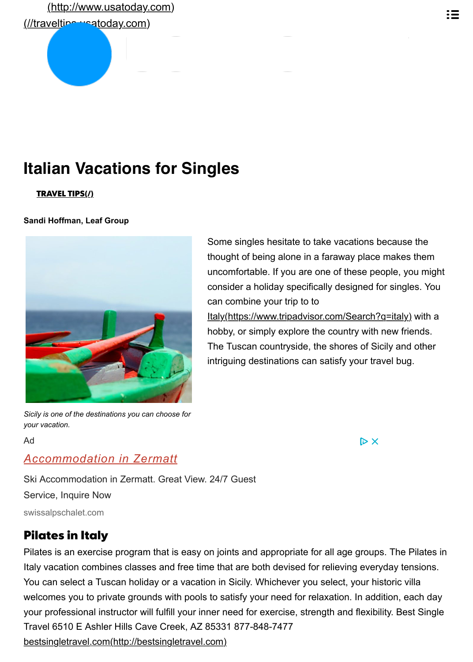# **Italian Vacations for Singles**

#### **TRAVEL TIPS(/)**

#### **Sandi Hoffman, Leaf Group**



*Sicily is one of the destinations you can choose for your vacation.*

Some singles hesitate to take vacations because thought of being alone in a faraway place makes uncomfortable. If you are one of these people, yo consider a holiday specifically designed for single can combine your trip to to

Italy(https://www.tripadvisor.com/Search?q=italy) hobby, or simply explore the country with new friends. The Tuscan countryside, the shores of Sicily and intriguing destinations can satisfy your travel bug.

 $D \times$ 

Ad

### *Accommodation in Zermatt*

Ski Accommodation in Zermatt. Great View. 24/7 Guest Service, Inquire Now swissalpschalet.com

# **Pilates in Italy**

Pilates is an exercise program that is easy on joints and appropriate for all age groups. The P Italy vacation combines classes and free time that are both devised for relieving everyday ten [You can select a Tuscan holiday or a](https://googleads.g.doubleclick.net/aclk?sa=L&ai=C-kbG0358WsGMHYv1gAfsj4WACIiwm6NQlZGBiMkGwI23ARABIN2PkBhgkayThfwXyAEBqQJULj7DWoi0PqgDAcgDwwSqBMkBT9CvCmf2cSY10w_CVRVy5mIo1o7YaXgFkERvFogkqSQzFwDqG24Q5cP9Y1_Jd3cYnn8hF0K1tp3o-AVtUI5IXv0tXTRXGgrOngJlvpolkRcU6Nf4Zcxpa1k_PI_DMQdkkM9aRIT10_3bydMxRdUewTK62D4wfUK4YIYGHJXGA_Y8qlF39MRgFJYZUcIcHw-5jPu9DCNC7ha6mnQx1763XRM9MxVgRe_q1RAv1zOwEadnnCAP43NDK-HaIagIuHHZ25W1i2-sibFGoAZRgAeDkbx2qAemvhvYBwHSCAcIgGEQARgCsQkT4i3TyESTwIAKAdgTCg&num=1&cid=CAASFeRo5tOtVkBGLIRi8ORhRJQu4Nmi1A&sig=AOD64_3w-lxb_lRVNyqNQN4nsEWNKA2qog&client=ca-pub-3235755782694080&adurl=https://www.swissalpschalet.com/zermatt-chalets/) vacation in Sicily. Whichever you select, your historic vill welcomes you to private grounds with pools to satisfy your need for relaxation. In addition, ea [your professional instructor will fulfill your inner need for](https://googleads.g.doubleclick.net/aclk?sa=L&ai=C-kbG0358WsGMHYv1gAfsj4WACIiwm6NQlZGBiMkGwI23ARABIN2PkBhgkayThfwXyAEBqQJULj7DWoi0PqgDAcgDwwSqBMkBT9CvCmf2cSY10w_CVRVy5mIo1o7YaXgFkERvFogkqSQzFwDqG24Q5cP9Y1_Jd3cYnn8hF0K1tp3o-AVtUI5IXv0tXTRXGgrOngJlvpolkRcU6Nf4Zcxpa1k_PI_DMQdkkM9aRIT10_3bydMxRdUewTK62D4wfUK4YIYGHJXGA_Y8qlF39MRgFJYZUcIcHw-5jPu9DCNC7ha6mnQx1763XRM9MxVgRe_q1RAv1zOwEadnnCAP43NDK-HaIagIuHHZ25W1i2-sibFGoAZRgAeDkbx2qAemvhvYBwHSCAcIgGEQARgCsQkT4i3TyESTwIAKAdgTCg&num=1&cid=CAASFeRo5tOtVkBGLIRi8ORhRJQu4Nmi1A&sig=AOD64_3w-lxb_lRVNyqNQN4nsEWNKA2qog&client=ca-pub-3235755782694080&adurl=https://www.swissalpschalet.com/zermatt-chalets/) exercise, strength and flexibility. Best Travel 6510 E Ashler Hills Cave Creek, AZ 85331 877-848-7477 [bestsingletravel.com](https://googleads.g.doubleclick.net/aclk?sa=L&ai=C-kbG0358WsGMHYv1gAfsj4WACIiwm6NQlZGBiMkGwI23ARABIN2PkBhgkayThfwXyAEBqQJULj7DWoi0PqgDAcgDwwSqBMkBT9CvCmf2cSY10w_CVRVy5mIo1o7YaXgFkERvFogkqSQzFwDqG24Q5cP9Y1_Jd3cYnn8hF0K1tp3o-AVtUI5IXv0tXTRXGgrOngJlvpolkRcU6Nf4Zcxpa1k_PI_DMQdkkM9aRIT10_3bydMxRdUewTK62D4wfUK4YIYGHJXGA_Y8qlF39MRgFJYZUcIcHw-5jPu9DCNC7ha6mnQx1763XRM9MxVgRe_q1RAv1zOwEadnnCAP43NDK-HaIagIuHHZ25W1i2-sibFGoAZRgAeDkbx2qAemvhvYBwHSCAcIgGEQARgCsQkT4i3TyESTwIAKAdgTCg&num=1&cid=CAASFeRo5tOtVkBGLIRi8ORhRJQu4Nmi1A&sig=AOD64_3w-lxb_lRVNyqNQN4nsEWNKA2qog&client=ca-pub-3235755782694080&adurl=https://www.swissalpschalet.com/zermatt-chalets/)(http://bestsingletravel.com)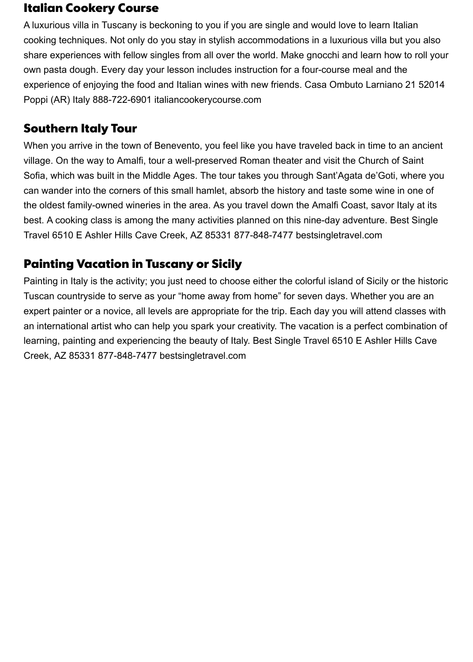### **Italian Cookery Course**

A luxurious villa in Tuscany is beckoning to you if you are single and would love to learn Italian cooking techniques. Not only do you stay in stylish accommodations in a luxurious villa but you also share experiences with fellow singles from all over the world. Make gnocchi and learn how to roll your own pasta dough. Every day your lesson includes instruction for a four-course meal and the experience of enjoying the food and Italian wines with new friends. Casa Ombuto Larniano 21 52014 Poppi (AR) Italy 888-722-6901 italiancookerycourse.com

### **Southern Italy Tour**

When you arrive in the town of Benevento, you feel like you have traveled back in time to an ancient village. On the way to Amalfi, tour a well-preserved Roman theater and visit the Church of Saint Sofia, which was built in the Middle Ages. The tour takes you through Sant'Agata de'Goti, where you can wander into the corners of this small hamlet, absorb the history and taste some wine in one of the oldest family-owned wineries in the area. As you travel down the Amalfi Coast, savor Italy at its best. A cooking class is among the many activities planned on this nine-day adventure. Best Single Travel 6510 E Ashler Hills Cave Creek, AZ 85331 877-848-7477 bestsingletravel.com

# **Painting Vacation in Tuscany or Sicily**

Painting in Italy is the activity; you just need to choose either the colorful island of Sicily or the historic Tuscan countryside to serve as your "home away from home" for seven days. Whether you are an expert painter or a novice, all levels are appropriate for the trip. Each day you will attend classes with an international artist who can help you spark your creativity. The vacation is a perfect combination of learning, painting and experiencing the beauty of Italy. Best Single Travel 6510 E Ashler Hills Cave Creek, AZ 85331 877-848-7477 bestsingletravel.com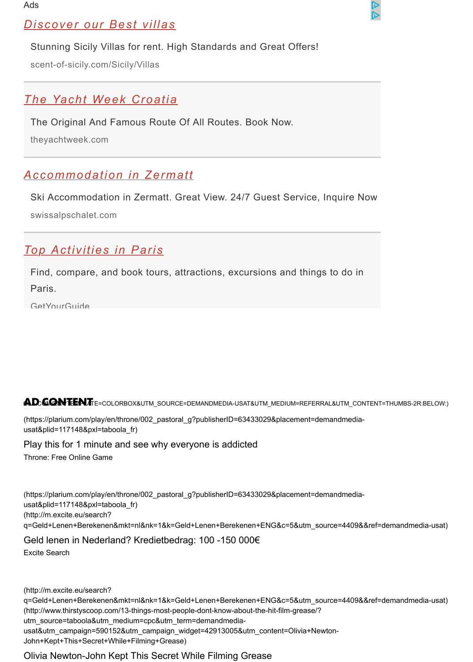The Original And Famous Route Of All Routes. Book Now.

[theyachtweek.com](https://www.googleadservices.com/pagead/aclk?sa=L&ai=CTGtE0358WtXJJI2ugAfIsYXwB9ivpLBQxuvJocEGwI23ARABIN2PkBgoBGCRrJOF_BegAcyXqNYDyAEBqQJULj7DWoi0PqgDAcgDAqoEzQFP0Lb34lwi8V0c23fBPYF4M_JQ2ITGPStMR1efH90u3HEDM9pHF5oSrPL8ygLDhockM5F6v7aA97gAluwtryld1leo_-edbMJC4bwiHqwoAnVy6AqcT6MewzT-KqrY_FBI3PRNob2EKgrt3V8HxEWuWbkf4r0ebL0F9n7jDtZXMEdYAe2Gvl-h3RbAs5E0pg3yjNbt6nYjKf5WgH_iYpcpH3ihAnWr-TBnfvrzaJEhyw0OSFYxjTQX-wE0LSt5Rj7EROqAb5PlGn7BNMm9oAZRgAec6NcpqAemvhvYBwHSCAcIgGEQARgCsQkJnis7m9d0gYAKAdgTBw&num=1&cid=CAASFeRo__HkEi-LQRH8os6SALDBtF-uIw&sig=AOD64_3DWjdCC000o7WSk2iXG4qr9tKQ-A&client=ca-pub-3235755782694080&adurl=http://www.scent-of-sicily.com/)

### *[Accommodation in Zermatt](https://www.googleadservices.com/pagead/aclk?sa=L&ai=CTGtE0358WtXJJI2ugAfIsYXwB9ivpLBQxuvJocEGwI23ARABIN2PkBgoBGCRrJOF_BegAcyXqNYDyAEBqQJULj7DWoi0PqgDAcgDAqoEzQFP0Lb34lwi8V0c23fBPYF4M_JQ2ITGPStMR1efH90u3HEDM9pHF5oSrPL8ygLDhockM5F6v7aA97gAluwtryld1leo_-edbMJC4bwiHqwoAnVy6AqcT6MewzT-KqrY_FBI3PRNob2EKgrt3V8HxEWuWbkf4r0ebL0F9n7jDtZXMEdYAe2Gvl-h3RbAs5E0pg3yjNbt6nYjKf5WgH_iYpcpH3ihAnWr-TBnfvrzaJEhyw0OSFYxjTQX-wE0LSt5Rj7EROqAb5PlGn7BNMm9oAZRgAec6NcpqAemvhvYBwHSCAcIgGEQARgCsQkJnis7m9d0gYAKAdgTBw&num=1&cid=CAASFeRo__HkEi-LQRH8os6SALDBtF-uIw&sig=AOD64_3DWjdCC000o7WSk2iXG4qr9tKQ-A&client=ca-pub-3235755782694080&adurl=http://www.scent-of-sicily.com/)*

[Ski Accommodation in Zerma](https://www.googleadservices.com/pagead/aclk?sa=L&ai=CTGtE0358WtXJJI2ugAfIsYXwB9ivpLBQxuvJocEGwI23ARABIN2PkBgoBGCRrJOF_BegAcyXqNYDyAEBqQJULj7DWoi0PqgDAcgDAqoEzQFP0Lb34lwi8V0c23fBPYF4M_JQ2ITGPStMR1efH90u3HEDM9pHF5oSrPL8ygLDhockM5F6v7aA97gAluwtryld1leo_-edbMJC4bwiHqwoAnVy6AqcT6MewzT-KqrY_FBI3PRNob2EKgrt3V8HxEWuWbkf4r0ebL0F9n7jDtZXMEdYAe2Gvl-h3RbAs5E0pg3yjNbt6nYjKf5WgH_iYpcpH3ihAnWr-TBnfvrzaJEhyw0OSFYxjTQX-wE0LSt5Rj7EROqAb5PlGn7BNMm9oAZRgAec6NcpqAemvhvYBwHSCAcIgGEQARgCsQkJnis7m9d0gYAKAdgTBw&num=1&cid=CAASFeRo__HkEi-LQRH8os6SALDBtF-uIw&sig=AOD64_3DWjdCC000o7WSk2iXG4qr9tKQ-A&client=ca-pub-3235755782694080&adurl=http://www.scent-of-sicily.com/)tt. Great View. 24/7 Guest Service, Inquire Now

[swissalpschalet.com](https://www.googleadservices.com/pagead/aclk?sa=L&ai=C6llc0358WtXJJI2ugAfIsYXwB6Pdw4VQi5StoqMGwI23ARACIN2PkBgoBGCRrJOF_BegAdCLytgDyAEBqQI0Wqd7O023PqgDAcgDAqoEzQFP0Oaq7Fwh8V0c23fBPYF4M_JQ2ITGPStMR1efH90u3HEDM9pHF5oSrPL8ygLDhockM5F6v7aA97gAluwtryld1leo_-edbMJC4bwiHqwoAnVy6AqcT6MewzT-KqrY_FBI3PRNob2EKgrt3V8HxEWuWbkf4r0ebL0F9n7fHdtDMEdYAe2Gvl-h3RbAs5E0pg3yjNbt6nYjKf5WgH_iYpcpH3ihAnWr-TBnfvrzaJEhyw0OSFYxjTQX-wEAPn97Rj7EROqAb5PlGn7BNMm9oAZRgAeY9LUnqAemvhvYBwHSCAcIgGEQARgCsQkA0MEBpNU_EoAKAdgTAg&num=2&cid=CAASFeRo__HkEi-LQRH8os6SALDBtF-uIw&sig=AOD64_1NoYns9BKyiyp4eQ2DvGvs1BsSEQ&client=ca-pub-3235755782694080&adurl=https://www.theyachtweek.com)

# *[Top Activities in Paris](https://www.googleadservices.com/pagead/aclk?sa=L&ai=C6llc0358WtXJJI2ugAfIsYXwB6Pdw4VQi5StoqMGwI23ARACIN2PkBgoBGCRrJOF_BegAdCLytgDyAEBqQI0Wqd7O023PqgDAcgDAqoEzQFP0Oaq7Fwh8V0c23fBPYF4M_JQ2ITGPStMR1efH90u3HEDM9pHF5oSrPL8ygLDhockM5F6v7aA97gAluwtryld1leo_-edbMJC4bwiHqwoAnVy6AqcT6MewzT-KqrY_FBI3PRNob2EKgrt3V8HxEWuWbkf4r0ebL0F9n7fHdtDMEdYAe2Gvl-h3RbAs5E0pg3yjNbt6nYjKf5WgH_iYpcpH3ihAnWr-TBnfvrzaJEhyw0OSFYxjTQX-wEAPn97Rj7EROqAb5PlGn7BNMm9oAZRgAeY9LUnqAemvhvYBwHSCAcIgGEQARgCsQkA0MEBpNU_EoAKAdgTAg&num=2&cid=CAASFeRo__HkEi-LQRH8os6SALDBtF-uIw&sig=AOD64_1NoYns9BKyiyp4eQ2DvGvs1BsSEQ&client=ca-pub-3235755782694080&adurl=https://www.theyachtweek.com)*

[Find, compare, an](https://www.googleadservices.com/pagead/aclk?sa=L&ai=C6llc0358WtXJJI2ugAfIsYXwB6Pdw4VQi5StoqMGwI23ARACIN2PkBgoBGCRrJOF_BegAdCLytgDyAEBqQI0Wqd7O023PqgDAcgDAqoEzQFP0Oaq7Fwh8V0c23fBPYF4M_JQ2ITGPStMR1efH90u3HEDM9pHF5oSrPL8ygLDhockM5F6v7aA97gAluwtryld1leo_-edbMJC4bwiHqwoAnVy6AqcT6MewzT-KqrY_FBI3PRNob2EKgrt3V8HxEWuWbkf4r0ebL0F9n7fHdtDMEdYAe2Gvl-h3RbAs5E0pg3yjNbt6nYjKf5WgH_iYpcpH3ihAnWr-TBnfvrzaJEhyw0OSFYxjTQX-wEAPn97Rj7EROqAb5PlGn7BNMm9oAZRgAeY9LUnqAemvhvYBwHSCAcIgGEQARgCsQkA0MEBpNU_EoAKAdgTAg&num=2&cid=CAASFeRo__HkEi-LQRH8os6SALDBtF-uIw&sig=AOD64_1NoYns9BKyiyp4eQ2DvGvs1BsSEQ&client=ca-pub-3235755782694080&adurl=https://www.theyachtweek.com)d book tours, attractions, excursions and things to do in Paris.

[GetYourGuide](https://googleads.g.doubleclick.net/aclk?sa=L&ai=CE3VD0358WtXJJI2ugAfIsYXwB4iwm6NQlZGBiMkGwI23ARADIN2PkBgoBGCRrJOF_BfIAQGpAlQuPsNaiLQ-qAMByAMCqgTMAU_QlpgcRTvKZa5oYaI7km8g-0jFncVgcEpVQoQU2DaLPA8xDfwRqBWpvbDLAixdxQ8vkX71o4CsvhOB_yS3NETVCvP59Yh3yUf5628SrmpEaGflD5RA4EXUNvw_t979TRaC7kqoto08VPLWUAnOWehFoB5uXB3udwbH2v9EQoTb59PBBmlVsEol6i9Y0YJQDvqE0hwcVQIo_qN2fGLintXpG8EEc14PM2d--gaekCfPDfu-VTGNMPMdhkZxmLOh4IpXZEeqm-UaPlnkw6AGUYAHg5G8dqgHpr4b2AcB0ggHCIBhEAEYArEJE-It08hEk8CACgHYEwo&num=3&cid=CAASFeRo__HkEi-LQRH8os6SALDBtF-uIw&sig=AOD64_1JkugGq3iWMWKKd_2u7gxu2OdBgA&client=ca-pub-3235755782694080&adurl=https://www.swissalpschalet.com/zermatt-chalets/)

#### AD:CONTENTE=COLORBOX&UTM\_SOURCE=DEMANDMEDIA-USAT&UTM\_MEDIUM=REFERRAL&UTM\_CONTENT=THUMBS-2

(https://plarium.com/play/en/throne/002\_pastoral\_g?publisherID=63433029&placement=demandmediau[sat&plid=117148&p](https://www.googleadservices.com/pagead/aclk?sa=L&ai=CIvJa0358WtXJJI2ugAfIsYXwB9-elbBQjsr_vcsGwI23ARAEIN2PkBgoBGCRrJOF_BegAaG48tgDyAEGqQJULj7DWoi0PqgDAcgDAqoEzgFP0KbF9lwn8V0c23fBPYF4M_JQ2ITGPStMR1efH90u3HEDM9pHF5oSrPL8ygLDhockM5F6v7aA97gAluwtryld1leo_-edbMJC4bwiHqwoAnVy6AqcT6MewzT-KqrY_FBI3PRNob2EKgrt3V8HxEWuWbkf4r0ebL0F9n6QSvCv2az4ii1tUbRONu48XHp0EPvxhN7pG4AACP9WdYnh4hcg447CYnOtDMZkfvrznWcgzQkOvaAyjTQTH-e-d0jN19kaCvkOqFbt8XQA0xm3_KAGN4AH0_L_cKgHpr4b2AcB0ggHCIBhEAEYArEJsc4JI_hnp0aACgHYEww&num=4&cid=CAASFeRo__HkEi-LQRH8os6SALDBtF-uIw&sig=AOD64_1202Xt47oOp4Gar2KUNwFv1u1dFw&client=ca-pub-3235755782694080&adurl=https://www.getyourguide.com/paris-l16/%3Fcmp%3Dga_sr%26campaign_id%3D1055727101%26adgroup_id%3D54620365809%26target_id%3Dkwd-97367133%26loc_physical_ms%3D9064946%26match_type%3D%26ad_id%3D250312207178%26keyword%3Dtours%2520in%2520paris%26ad_position%3Dnone%26feed_item_id%3D%26placement%3Dtraveltips.usatoday.com%26partner_id%3DDEF9D)xl=taboola\_fr)

#### Play this for 1 minute and see why everyone is addicted

Throne: Free Online Game

(https://plarium.com/play/en/throne/002\_pastoral\_g?publisherID=63433029&placement=demandmediausat&plid=117148&pxl=taboola\_fr) (http://m.excite.eu/search? q=Geld+Lenen+Berekenen&mkt=nl&nk=1&k=Geld+Lenen+Berekenen+ENG&c=5&utm\_source=4409&&ref=demandm

#### [Geld lenen in Nederland? Kredietbedrag: 100 -150 000](https://plarium.com/play/en/throne/002_pastoral_g?publisherID=63433029&placement=demandmedia-usat&plid=117148&pxl=taboola_fr)€

Excite Search

(http://m.excite.eu/search?

q=Geld+Lenen+Berekenen&mkt=nl&nk=1&k=Geld+Lenen+Berekenen+ENG&c=5&utm\_source=4409&&ref=demandm (http://www.thirstyscoop.com/13-things-most-people-dont-know-about-the-hit-film-grease/? utm\_source=taboola&utm\_medium=cpc&utm\_term=demandmediausat&utm\_campaign=590152&utm\_campaign\_widget=42913005&utm\_content=Olivia+Newton-[John+Kept+This+Secret+While+Filming+Grease\)](http://m.excite.eu/search?q=Geld+Lenen+Berekenen&mkt=nl&nk=1&k=Geld+Lenen+Berekenen+ENG&c=5&utm_source=4409&&ref=demandmedia-usat)

#### [Olivia Newton-John Kept This Secret While Filming Grease](http://m.excite.eu/search?q=Geld+Lenen+Berekenen&mkt=nl&nk=1&k=Geld+Lenen+Berekenen+ENG&c=5&utm_source=4409&&ref=demandmedia-usat)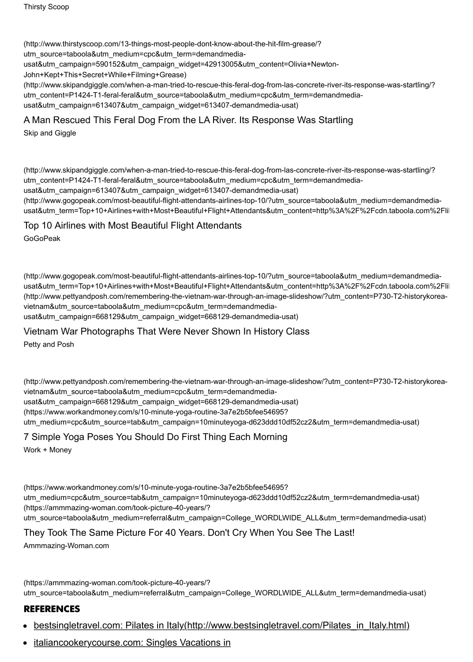(http://www.skipandgiggle.com/when-a-man-tried-to-rescue-this-feral-dog-from-las-concrete-river-its-response-was-star utm\_content=P1424-T1-feral-feral&utm\_source=taboola&utm\_medium=cpc&utm\_term=demandmediausat&utm\_campaign=613407&utm\_campaign\_widget=613407-demandmedia-usat)

(http://www.gogopeak.com/most-beautiful-flight-attendants-airlines-top-10/?utm\_source=taboola&utm\_medium=deman usat&utm\_term=Top+10+Airlines+with+Most+Beautiful+Flight+Attendants&utm\_content=http%3A%2F%2Fcdn.taboola

# Top 10 Airlines with Most Beautiful Flight Attendants

GoGoPeak

(http://www.gogopeak.com/most-beautiful-flight-attendants-airlines-top-10/?utm\_source=taboola&utm\_medium=deman usat&utm\_term=Top+10+Airlines+with+Most+Beautiful+Flight+Attendants&utm\_content=http%3A%2F%2Fcdn.taboola (http://www.pettyandposh.com/remembering-the-vietnam-war-through-an-image-slideshow/?utm\_content=P730-T2-his vietnam&utm\_source=taboola&utm\_medium=cpc&utm\_term=demandmediausat&utm\_campaign=668129&utm\_campaign\_widget=668129-demandmedia-usat)

### [Vietnam War Photographs That Were Never Shown In History Class](http://www.gogopeak.com/most-beautiful-flight-attendants-airlines-top-10/?utm_source=taboola&utm_medium=demandmedia-usat&utm_term=Top+10+Airlines+with+Most+Beautiful+Flight+Attendants&utm_content=http%3A%2F%2Fcdn.taboola.com%2Flibtrc%2Fstatic%2Fthumbnails%2F29a87d38239449951954c7a95ddebb91.jpg&utm_campaign=attendant_ne_desktop)

Petty and Posh

(http://www.pettyandposh.com/remembering-the-vietnam-war-through-an-image-slideshow/?utm\_content=P730-T2-his vietnam&utm\_source=taboola&utm\_medium=cpc&utm\_term=demandmediausat&utm\_campaign=668129&utm\_campaign\_widget=668129-demandmedia-usat) (https://www.workandmoney.com/s/10-minute-yoga-routine-3a7e2b5bfee54695? utm\_medium=cpc&utm\_source=tab&utm\_campaign=10minuteyoga-d623ddd10df52cz2&utm\_term=demandmedia-usa

### 7 Simple Yoga Poses You Should Do First Thing Each Morning

Work + Money

(https://www.workandmoney.com/s/10-minute-yoga-routine-3a7e2b5bfee54695? utm\_medium=cpc&utm\_source=tab&utm\_campaign=10minuteyoga-d623ddd10df52cz2&utm\_term=demandmedia-usa (https://ammmazing-woman.com/took-picture-40-years/? utm\_source=taboola&utm\_medium=referral&utm\_campaign=College\_WORDLWIDE\_ALL&utm\_term=demandmedia-u

[They Took The Same Picture For 40 Years. Don](https://www.workandmoney.com/s/10-minute-yoga-routine-3a7e2b5bfee54695?utm_medium=cpc&utm_source=tab&utm_campaign=10minuteyoga-d623ddd10df52cz2&utm_term=demandmedia-usat)'[t Cry When You See The Last!](https://www.workandmoney.com/s/10-minute-yoga-routine-3a7e2b5bfee54695?utm_medium=cpc&utm_source=tab&utm_campaign=10minuteyoga-d623ddd10df52cz2&utm_term=demandmedia-usat)

Ammmazing-Woman.com

(https://ammmazing-woman.com/took-picture-40-years/? utm\_source=taboola&utm\_medium=referral&utm\_campaign=College\_WORDLWIDE\_ALL&utm\_term=demandmedia-u

### **REFERENCES**

- bestsingletravel.com: Pilates in Italy(http://www.bestsingletravel.com/Pilates\_in\_Italy.html)
- [italiancookerycourse.com: Singles Vacations in](https://ammmazing-woman.com/took-picture-40-years/?utm_source=taboola&utm_medium=referral&utm_campaign=College_WORDLWIDE_ALL&utm_term=demandmedia-usat)